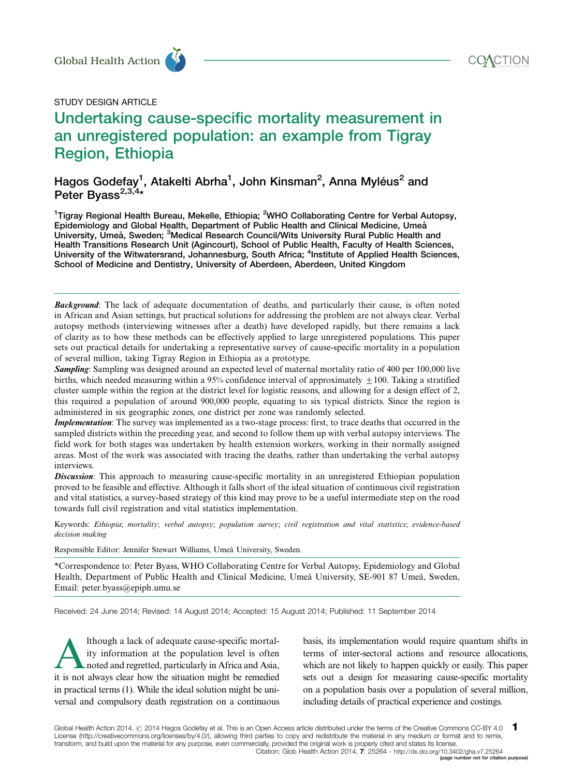

# STUDY DESIGN ARTICLE

# Undertaking cause-specific mortality measurement in an unregistered population: an example from Tigray Region, Ethiopia Global Health Action<br>
STUDY DESIGN ARTICLE<br> **Undertaking cause-specific mortality measurement in**

Hagos Godefay<sup>1</sup>, Atakelti Abrha<sup>1</sup>, John Kinsman<sup>2</sup>, Anna Myléus<sup>2</sup> and Peter Byass<sup>2,3,4</sup>\*

<sup>1</sup>Tigray Regional Health Bureau, Mekelle, Ethiopia; <sup>2</sup>WHO Collaborating Centre for Verbal Autopsy, Epidemiology and Global Health, Department of Public Health and Clinical Medicine, Umeå University, Umeå, Sweden; <sup>3</sup>Medical Research Council/Wits University Rural Public Health and Health Transitions Research Unit (Agincourt), School of Public Health, Faculty of Health Sciences, University of the Witwatersrand, Johannesburg, South Africa; <sup>4</sup>Institute of Applied Health Sciences, School of Medicine and Dentistry, University of Aberdeen, Aberdeen, United Kingdom

**Background:** The lack of adequate documentation of deaths, and particularly their cause, is often noted in African and Asian settings, but practical solutions for addressing the problem are not always clear. Verbal autopsy methods (interviewing witnesses after a death) have developed rapidly, but there remains a lack of clarity as to how these methods can be effectively applied to large unregistered populations. This paper sets out practical details for undertaking a representative survey of cause-specific mortality in a population of several million, taking Tigray Region in Ethiopia as a prototype.

Sampling: Sampling was designed around an expected level of maternal mortality ratio of 400 per 100,000 live births, which needed measuring within a 95% confidence interval of approximately  $\pm 100$ . Taking a stratified cluster sample within the region at the district level for logistic reasons, and allowing for a design effect of 2, this required a population of around 900,000 people, equating to six typical districts. Since the region is administered in six geographic zones, one district per zone was randomly selected.

Implementation: The survey was implemented as a two-stage process: first, to trace deaths that occurred in the sampled districts within the preceding year, and second to follow them up with verbal autopsy interviews. The field work for both stages was undertaken by health extension workers, working in their normally assigned areas. Most of the work was associated with tracing the deaths, rather than undertaking the verbal autopsy interviews.

**Discussion:** This approach to measuring cause-specific mortality in an unregistered Ethiopian population proved to be feasible and effective. Although it falls short of the ideal situation of continuous civil registration and vital statistics, a survey-based strategy of this kind may prove to be a useful intermediate step on the road towards full civil registration and vital statistics implementation.

Keywords: Ethiopia; mortality; verbal autopsy; population survey; civil registration and vital statistics; evidence-based decision making

Responsible Editor: Jennifer Stewart Williams, Umeå University, Sweden.

\*Correspondence to: Peter Byass, WHO Collaborating Centre for Verbal Autopsy, Epidemiology and Global Health, Department of Public Health and Clinical Medicine, Umeå University, SE-901 87 Umeå, Sweden, Email: peter.byass@epiph.umu.se

Received: 24 June 2014; Revised: 14 August 2014; Accepted: 15 August 2014; Published: 11 September 2014

Ithough a lack of adequate cause-specific mortal-<br>ity information at the population level is often<br>noted and regretted, particularly in Africa and Asia,<br>it is not always clear how the situation might be remedied ity information at the population level is often noted and regretted, particularly in Africa and Asia, it is not always clear how the situation might be remedied in practical terms (1). While the ideal solution might be universal and compulsory death registration on a continuous

basis, its implementation would require quantum shifts in terms of inter-sectoral actions and resource allocations, which are not likely to happen quickly or easily. This paper sets out a design for measuring cause-specific mortality on a population basis over a population of several million, including details of practical experience and costings.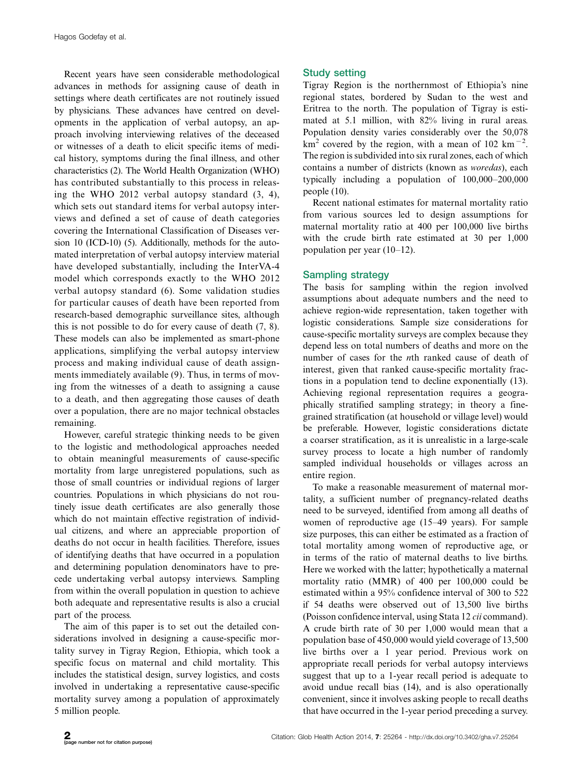Recent years have seen considerable methodological advances in methods for assigning cause of death in settings where death certificates are not routinely issued by physicians. These advances have centred on developments in the application of verbal autopsy, an approach involving interviewing relatives of the deceased or witnesses of a death to elicit specific items of medical history, symptoms during the final illness, and other characteristics (2). The World Health Organization (WHO) has contributed substantially to this process in releasing the WHO 2012 verbal autopsy standard (3, 4), which sets out standard items for verbal autopsy interviews and defined a set of cause of death categories covering the International Classification of Diseases version 10 (ICD-10) (5). Additionally, methods for the automated interpretation of verbal autopsy interview material have developed substantially, including the InterVA-4 model which corresponds exactly to the WHO 2012 verbal autopsy standard (6). Some validation studies for particular causes of death have been reported from research-based demographic surveillance sites, although this is not possible to do for every cause of death (7, 8). These models can also be implemented as smart-phone applications, simplifying the verbal autopsy interview process and making individual cause of death assignments immediately available (9). Thus, in terms of moving from the witnesses of a death to assigning a cause to a death, and then aggregating those causes of death over a population, there are no major technical obstacles remaining.

However, careful strategic thinking needs to be given to the logistic and methodological approaches needed to obtain meaningful measurements of cause-specific mortality from large unregistered populations, such as those of small countries or individual regions of larger countries. Populations in which physicians do not routinely issue death certificates are also generally those which do not maintain effective registration of individual citizens, and where an appreciable proportion of deaths do not occur in health facilities. Therefore, issues of identifying deaths that have occurred in a population and determining population denominators have to precede undertaking verbal autopsy interviews. Sampling from within the overall population in question to achieve both adequate and representative results is also a crucial part of the process.

The aim of this paper is to set out the detailed considerations involved in designing a cause-specific mortality survey in Tigray Region, Ethiopia, which took a specific focus on maternal and child mortality. This includes the statistical design, survey logistics, and costs involved in undertaking a representative cause-specific mortality survey among a population of approximately 5 million people.

# Study setting

Tigray Region is the northernmost of Ethiopia's nine regional states, bordered by Sudan to the west and Eritrea to the north. The population of Tigray is estimated at 5.1 million, with 82% living in rural areas. Population density varies considerably over the 50,078  $\text{km}^2$  covered by the region, with a mean of 102 km<sup>-2</sup>. The region is subdivided into six rural zones, each of which contains a number of districts (known as woredas), each typically including a population of  $100,000-200,000$ people (10).

Recent national estimates for maternal mortality ratio from various sources led to design assumptions for maternal mortality ratio at 400 per 100,000 live births with the crude birth rate estimated at 30 per 1,000 population per year  $(10-12)$ .

# Sampling strategy

The basis for sampling within the region involved assumptions about adequate numbers and the need to achieve region-wide representation, taken together with logistic considerations. Sample size considerations for cause-specific mortality surveys are complex because they depend less on total numbers of deaths and more on the number of cases for the nth ranked cause of death of interest, given that ranked cause-specific mortality fractions in a population tend to decline exponentially (13). Achieving regional representation requires a geographically stratified sampling strategy; in theory a finegrained stratification (at household or village level) would be preferable. However, logistic considerations dictate a coarser stratification, as it is unrealistic in a large-scale survey process to locate a high number of randomly sampled individual households or villages across an entire region.

To make a reasonable measurement of maternal mortality, a sufficient number of pregnancy-related deaths need to be surveyed, identified from among all deaths of women of reproductive age (15-49 years). For sample size purposes, this can either be estimated as a fraction of total mortality among women of reproductive age, or in terms of the ratio of maternal deaths to live births. Here we worked with the latter; hypothetically a maternal mortality ratio (MMR) of 400 per 100,000 could be estimated within a 95% confidence interval of 300 to 522 if 54 deaths were observed out of 13,500 live births (Poisson confidence interval, using Stata 12 cii command). A crude birth rate of 30 per 1,000 would mean that a population base of 450,000 would yield coverage of 13,500 live births over a 1 year period. Previous work on appropriate recall periods for verbal autopsy interviews suggest that up to a 1-year recall period is adequate to avoid undue recall bias (14), and is also operationally convenient, since it involves asking people to recall deaths that have occurred in the 1-year period preceding a survey.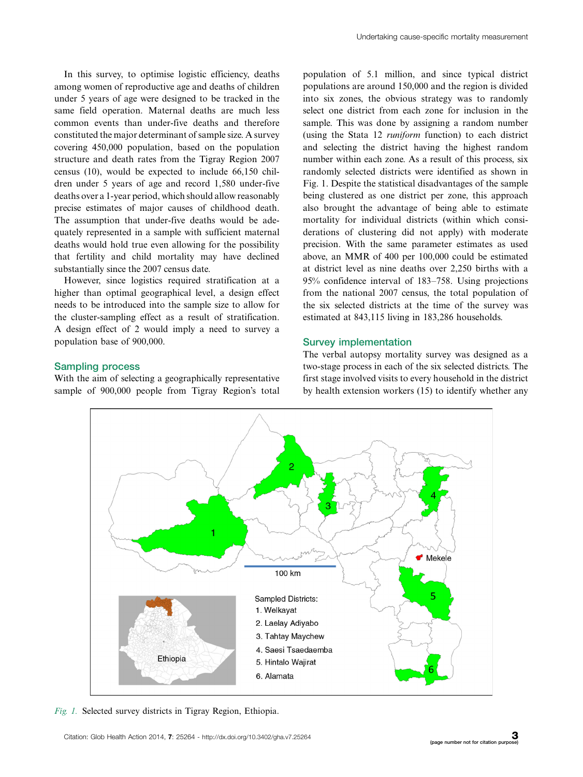In this survey, to optimise logistic efficiency, deaths among women of reproductive age and deaths of children under 5 years of age were designed to be tracked in the same field operation. Maternal deaths are much less common events than under-five deaths and therefore constituted the major determinant of sample size. A survey covering 450,000 population, based on the population structure and death rates from the Tigray Region 2007 census (10), would be expected to include 66,150 children under 5 years of age and record 1,580 under-five deaths over a 1-year period, which should allow reasonably precise estimates of major causes of childhood death. The assumption that under-five deaths would be adequately represented in a sample with sufficient maternal deaths would hold true even allowing for the possibility that fertility and child mortality may have declined substantially since the 2007 census date.

However, since logistics required stratification at a higher than optimal geographical level, a design effect needs to be introduced into the sample size to allow for the cluster-sampling effect as a result of stratification. A design effect of 2 would imply a need to survey a population base of 900,000.

population of 5.1 million, and since typical district populations are around 150,000 and the region is divided into six zones, the obvious strategy was to randomly select one district from each zone for inclusion in the sample. This was done by assigning a random number (using the Stata 12 runiform function) to each district and selecting the district having the highest random number within each zone. As a result of this process, six randomly selected districts were identified as shown in Fig. 1. Despite the statistical disadvantages of the sample being clustered as one district per zone, this approach also brought the advantage of being able to estimate mortality for individual districts (within which considerations of clustering did not apply) with moderate precision. With the same parameter estimates as used above, an MMR of 400 per 100,000 could be estimated at district level as nine deaths over 2,250 births with a  $95\%$  confidence interval of 183–758. Using projections from the national 2007 census, the total population of the six selected districts at the time of the survey was estimated at 843,115 living in 183,286 households.

## Survey implementation

# Sampling process

With the aim of selecting a geographically representative sample of 900,000 people from Tigray Region's total The verbal autopsy mortality survey was designed as a two-stage process in each of the six selected districts. The first stage involved visits to every household in the district by health extension workers (15) to identify whether any



Fig. 1. Selected survey districts in Tigray Region, Ethiopia.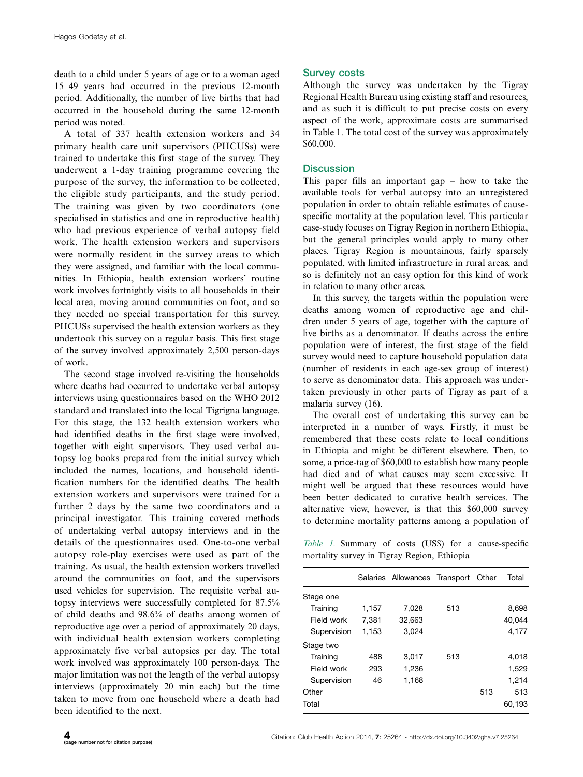death to a child under 5 years of age or to a woman aged 1549 years had occurred in the previous 12-month period. Additionally, the number of live births that had occurred in the household during the same 12-month period was noted.

A total of 337 health extension workers and 34 primary health care unit supervisors (PHCUSs) were trained to undertake this first stage of the survey. They underwent a 1-day training programme covering the purpose of the survey, the information to be collected, the eligible study participants, and the study period. The training was given by two coordinators (one specialised in statistics and one in reproductive health) who had previous experience of verbal autopsy field work. The health extension workers and supervisors were normally resident in the survey areas to which they were assigned, and familiar with the local communities. In Ethiopia, health extension workers' routine work involves fortnightly visits to all households in their local area, moving around communities on foot, and so they needed no special transportation for this survey. PHCUSs supervised the health extension workers as they undertook this survey on a regular basis. This first stage of the survey involved approximately 2,500 person-days of work.

The second stage involved re-visiting the households where deaths had occurred to undertake verbal autopsy interviews using questionnaires based on the WHO 2012 standard and translated into the local Tigrigna language. For this stage, the 132 health extension workers who had identified deaths in the first stage were involved, together with eight supervisors. They used verbal autopsy log books prepared from the initial survey which included the names, locations, and household identification numbers for the identified deaths. The health extension workers and supervisors were trained for a further 2 days by the same two coordinators and a principal investigator. This training covered methods of undertaking verbal autopsy interviews and in the details of the questionnaires used. One-to-one verbal autopsy role-play exercises were used as part of the training. As usual, the health extension workers travelled around the communities on foot, and the supervisors used vehicles for supervision. The requisite verbal autopsy interviews were successfully completed for 87.5% of child deaths and 98.6% of deaths among women of reproductive age over a period of approximately 20 days, with individual health extension workers completing approximately five verbal autopsies per day. The total work involved was approximately 100 person-days. The major limitation was not the length of the verbal autopsy interviews (approximately 20 min each) but the time taken to move from one household where a death had been identified to the next.

## Survey costs

Although the survey was undertaken by the Tigray Regional Health Bureau using existing staff and resources, and as such it is difficult to put precise costs on every aspect of the work, approximate costs are summarised in Table 1. The total cost of the survey was approximately \$60,000.

# **Discussion**

This paper fills an important gap  $-$  how to take the available tools for verbal autopsy into an unregistered population in order to obtain reliable estimates of causespecific mortality at the population level. This particular case-study focuses on Tigray Region in northern Ethiopia, but the general principles would apply to many other places. Tigray Region is mountainous, fairly sparsely populated, with limited infrastructure in rural areas, and so is definitely not an easy option for this kind of work in relation to many other areas.

In this survey, the targets within the population were deaths among women of reproductive age and children under 5 years of age, together with the capture of live births as a denominator. If deaths across the entire population were of interest, the first stage of the field survey would need to capture household population data (number of residents in each age-sex group of interest) to serve as denominator data. This approach was undertaken previously in other parts of Tigray as part of a malaria survey (16).

The overall cost of undertaking this survey can be interpreted in a number of ways. Firstly, it must be remembered that these costs relate to local conditions in Ethiopia and might be different elsewhere. Then, to some, a price-tag of \$60,000 to establish how many people had died and of what causes may seem excessive. It might well be argued that these resources would have been better dedicated to curative health services. The alternative view, however, is that this \$60,000 survey to determine mortality patterns among a population of

Table 1. Summary of costs (US\$) for a cause-specific mortality survey in Tigray Region, Ethiopia

|             |       | Salaries Allowances Transport Other |     |     | Total  |
|-------------|-------|-------------------------------------|-----|-----|--------|
| Stage one   |       |                                     |     |     |        |
| Training    | 1,157 | 7.028                               | 513 |     | 8,698  |
| Field work  | 7,381 | 32.663                              |     |     | 40.044 |
| Supervision | 1,153 | 3.024                               |     |     | 4,177  |
| Stage two   |       |                                     |     |     |        |
| Training    | 488   | 3.017                               | 513 |     | 4.018  |
| Field work  | 293   | 1,236                               |     |     | 1,529  |
| Supervision | 46    | 1,168                               |     |     | 1,214  |
| Other       |       |                                     |     | 513 | 513    |
| Total       |       |                                     |     |     | 60,193 |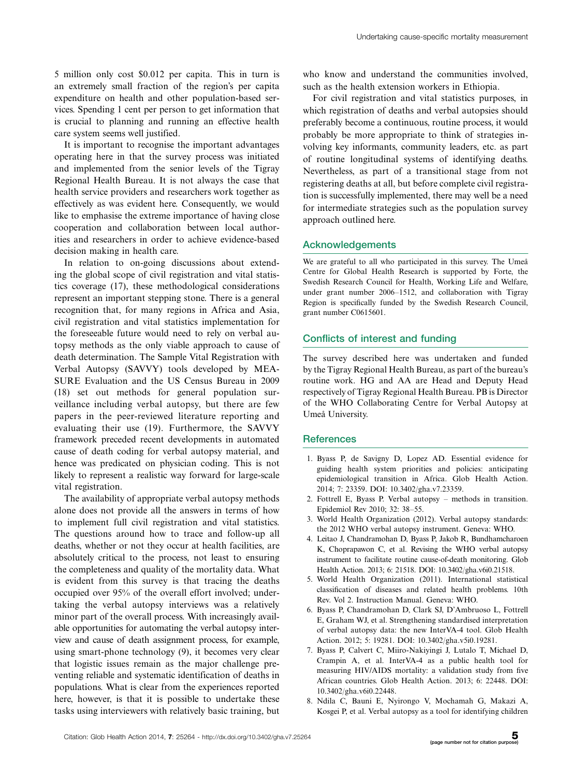5 million only cost \$0.012 per capita. This in turn is an extremely small fraction of the region's per capita expenditure on health and other population-based services. Spending 1 cent per person to get information that is crucial to planning and running an effective health care system seems well justified.

It is important to recognise the important advantages operating here in that the survey process was initiated and implemented from the senior levels of the Tigray Regional Health Bureau. It is not always the case that health service providers and researchers work together as effectively as was evident here. Consequently, we would like to emphasise the extreme importance of having close cooperation and collaboration between local authorities and researchers in order to achieve evidence-based decision making in health care.

In relation to on-going discussions about extending the global scope of civil registration and vital statistics coverage (17), these methodological considerations represent an important stepping stone. There is a general recognition that, for many regions in Africa and Asia, civil registration and vital statistics implementation for the foreseeable future would need to rely on verbal autopsy methods as the only viable approach to cause of death determination. The Sample Vital Registration with Verbal Autopsy (SAVVY) tools developed by MEA-SURE Evaluation and the US Census Bureau in 2009 (18) set out methods for general population surveillance including verbal autopsy, but there are few papers in the peer-reviewed literature reporting and evaluating their use (19). Furthermore, the SAVVY framework preceded recent developments in automated cause of death coding for verbal autopsy material, and hence was predicated on physician coding. This is not likely to represent a realistic way forward for large-scale vital registration.

The availability of appropriate verbal autopsy methods alone does not provide all the answers in terms of how to implement full civil registration and vital statistics. The questions around how to trace and follow-up all deaths, whether or not they occur at health facilities, are absolutely critical to the process, not least to ensuring the completeness and quality of the mortality data. What is evident from this survey is that tracing the deaths occupied over 95% of the overall effort involved; undertaking the verbal autopsy interviews was a relatively minor part of the overall process. With increasingly available opportunities for automating the verbal autopsy interview and cause of death assignment process, for example, using smart-phone technology (9), it becomes very clear that logistic issues remain as the major challenge preventing reliable and systematic identification of deaths in populations. What is clear from the experiences reported here, however, is that it is possible to undertake these tasks using interviewers with relatively basic training, but

who know and understand the communities involved. such as the health extension workers in Ethiopia.

For civil registration and vital statistics purposes, in which registration of deaths and verbal autopsies should preferably become a continuous, routine process, it would probably be more appropriate to think of strategies involving key informants, community leaders, etc. as part of routine longitudinal systems of identifying deaths. Nevertheless, as part of a transitional stage from not registering deaths at all, but before complete civil registration is successfully implemented, there may well be a need for intermediate strategies such as the population survey approach outlined here.

# Acknowledgements

We are grateful to all who participated in this survey. The Umeå Centre for Global Health Research is supported by Forte, the Swedish Research Council for Health, Working Life and Welfare, under grant number 2006-1512, and collaboration with Tigray Region is specifically funded by the Swedish Research Council, grant number C0615601.

### Conflicts of interest and funding

The survey described here was undertaken and funded by the Tigray Regional Health Bureau, as part of the bureau's routine work. HG and AA are Head and Deputy Head respectively of Tigray Regional Health Bureau. PB is Director of the WHO Collaborating Centre for Verbal Autopsy at Umeå University.

### References

- 1. Byass P, de Savigny D, Lopez AD. Essential evidence for guiding health system priorities and policies: anticipating epidemiological transition in Africa. Glob Health Action. 2014; 7: 23359. DOI: 10.3402/gha.v7.23359.
- 2. Fottrell E, Byass P. Verbal autopsy methods in transition. Epidemiol Rev 2010; 32: 38-55.
- 3. World Health Organization (2012). Verbal autopsy standards: the 2012 WHO verbal autopsy instrument. Geneva: WHO.
- 4. Leitao J, Chandramohan D, Byass P, Jakob R, Bundhamcharoen K, Choprapawon C, et al. Revising the WHO verbal autopsy instrument to facilitate routine cause-of-death monitoring. Glob Health Action. 2013; 6: 21518. DOI: 10.3402/gha.v6i0.21518.
- 5. World Health Organization (2011). International statistical classification of diseases and related health problems. 10th Rev. Vol 2. Instruction Manual. Geneva: WHO.
- 6. Byass P, Chandramohan D, Clark SJ, D'Ambruoso L, Fottrell E, Graham WJ, et al. Strengthening standardised interpretation of verbal autopsy data: the new InterVA-4 tool. Glob Health Action. 2012; 5: 19281. DOI: 10.3402/gha.v5i0.19281.
- 7. Byass P, Calvert C, Miiro-Nakiyingi J, Lutalo T, Michael D, Crampin A, et al. InterVA-4 as a public health tool for measuring HIV/AIDS mortality: a validation study from five African countries. Glob Health Action. 2013; 6: 22448. DOI: 10.3402/gha.v6i0.22448.
- 8. Ndila C, Bauni E, Nyirongo V, Mochamah G, Makazi A, Kosgei P, et al. Verbal autopsy as a tool for identifying children